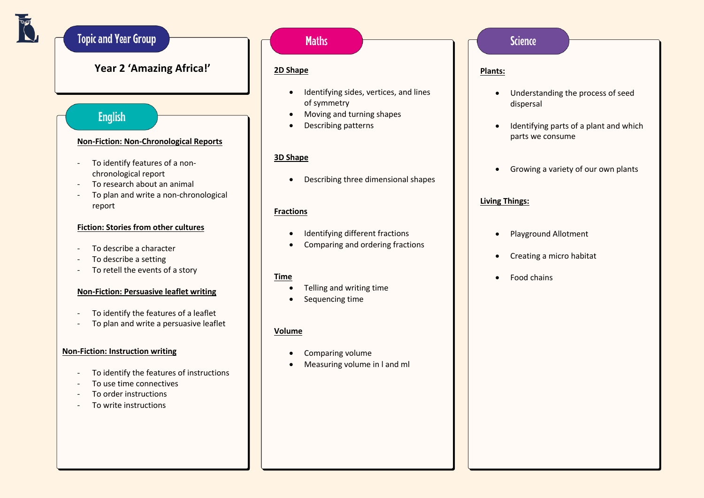# **Topic and Year Group**

## **Year 2 'Amazing Africa!'**

### **English**

#### **Non-Fiction: Non-Chronological Reports**

- To identify features of a nonchronological report
- To research about an animal
- To plan and write a non-chronological report

### **Fiction: Stories from other cultures**

- To describe a character
- To describe a setting
- To retell the events of a story

### **Non-Fiction: Persuasive leaflet writing**

- To identify the features of a leaflet
- To plan and write a persuasive leaflet

### **Non-Fiction: Instruction writing**

- To identify the features of instructions
- To use time connectives
- To order instructions
- To write instructions

# **Maths**

### **2D Shape**

- Identifying sides, vertices, and lines of symmetry
- Moving and turning shapes
- Describing patterns

### **3D Shape**

• Describing three dimensional shapes

### **Fractions**

- Identifying different fractions
- Comparing and ordering fractions

### **Time**

- Telling and writing time
- Sequencing time

### **Volume**

- Comparing volume
- Measuring volume in l and ml

### **Science**

#### **Plants:**

- Understanding the process of seed dispersal
- Identifying parts of a plant and which parts we consume
- Growing a variety of our own plants

### **Living Things:**

- Playground Allotment
- Creating a micro habitat
- Food chains